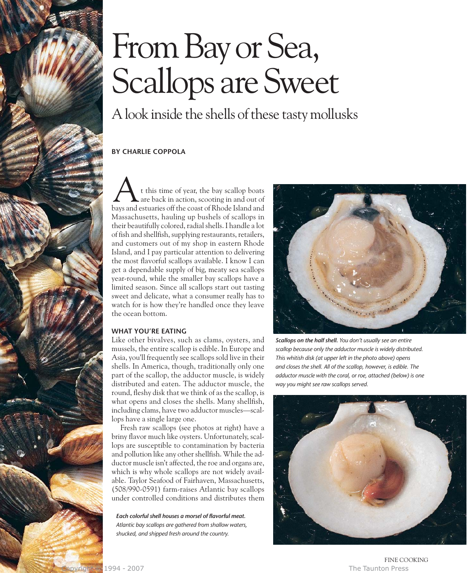

# From Bay or Sea, Scallops are Sweet

A look inside the shells of these tasty mollusks

# **BY CHARLIE COPPOLA**

t this time of year, the bay scallop boats are back in action, scooting in and out of A t this time of year, the bay scallop boats<br>bays and estuaries off the coast of Rhode Island and Massachusetts, hauling up bushels of scallops in their beautifully colored, radial shells. I handle a lot of fish and shellfish, supplying restaurants, retailers, and customers out of my shop in eastern Rhode Island, and I pay particular attention to delivering the most flavorful scallops available. I know I can get a dependable supply of big, meaty sea scallops year-round, while the smaller bay scallops have a limited season. Since all scallops start out tasting sweet and delicate, what a consumer really has to watch for is how they're handled once they leave the ocean bottom.

# **WHAT YOU'RE EATING**

Like other bivalves, such as clams, oysters, and mussels, the entire scallop is edible. In Europe and Asia, you'll frequently see scallops sold live in their shells. In America, though, traditionally only one part of the scallop, the adductor muscle, is widely distributed and eaten. The adductor muscle, the round, fleshy disk that we think of as the scallop, is what opens and closes the shells. Many shellfish, including clams, have two adductor muscles—scallops have a single large one.

Fresh raw scallops (see photos at right) have a briny flavor much like oysters. Unfortunately, scallops are susceptible to contamination by bacteria and pollution like any other shellfish. While the adductor muscle isn't affected, the roe and organs are, which is why whole scallops are not widely available. Taylor Seafood of Fairhaven, Massachusetts, (508/990-0591) farm-raises Atlantic bay scallops under controlled conditions and distributes them

*Each colorful shell houses a morsel of flavorful meat. Atlantic bay scallops are gathered from shallow waters, shucked, and shipped fresh around the country.*



*Scallops on the half shell. You don't usually see an entire scallop because only the adductor muscle is widely distributed. This whitish disk (at upper left in the photo above) opens and closes the shell. All of the scallop, however, is edible. The adductor muscle with the coral, or roe, attached (below) is one way you might see raw scallops served.*



FINE COOKING Copyright © 1994 - 2007 The Taunton Press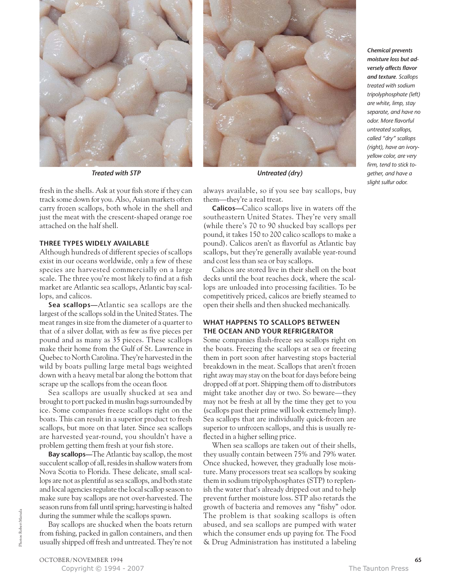

*Treated with STP Untreated (dry)*

fresh in the shells. Ask at your fish store if they can track some down for you. Also, Asian markets often carry frozen scallops, both whole in the shell and just the meat with the crescent-shaped orange roe attached on the half shell.

## **THREE TYPES WIDELY AVAILABLE**

Although hundreds of different species of scallops exist in our oceans worldwide, only a few of these species are harvested commercially on a large scale. The three you're most likely to find at a fish market are Atlantic sea scallops, Atlantic bay scallops, and calicos.

**Sea scallops—**Atlantic sea scallops are the largest of the scallops sold in the United States. The meat ranges in size from the diameter of a quarter to that of a silver dollar, with as few as five pieces per pound and as many as 35 pieces. These scallops make their home from the Gulf of St. Lawrence in Quebec to North Carolina. They're harvested in the wild by boats pulling large metal bags weighted down with a heavy metal bar along the bottom that scrape up the scallops from the ocean floor.

Sea scallops are usually shucked at sea and brought to port packed in muslin bags surrounded by ice. Some companies freeze scallops right on the boats. This can result in a superior product to fresh scallops, but more on that later. Since sea scallops are harvested year-round, you shouldn't have a problem getting them fresh at your fish store.

**Bay scallops—**The Atlantic bay scallop, the most succulent scallop of all, resides in shallow waters from Nova Scotia to Florida. These delicate, small scallops are not as plentiful as sea scallops, and both state and local agencies regulate the local scallop season to make sure bay scallops are not over-harvested. The season runs from fall until spring; harvesting is halted during the summer while the scallops spawn.

Bay scallops are shucked when the boats return from fishing, packed in gallon containers, and then usually shipped off fresh and untreated. They're not



always available, so if you see bay scallops, buy them—they're a real treat.

**Calicos—**Calico scallops live in waters off the southeastern United States. They're very small (while there's 70 to 90 shucked bay scallops per pound, it takes 150 to 200 calico scallops to make a pound). Calicos aren't as flavorful as Atlantic bay scallops, but they're generally available year-round and cost less than sea or bay scallops.

Calicos are stored live in their shell on the boat decks until the boat reaches dock, where the scallops are unloaded into processing facilities. To be competitively priced, calicos are briefly steamed to open their shells and then shucked mechanically.

### **WHAT HAPPENS TO SCALLOPS BETWEEN THE OCEAN AND YOUR REFRIGERATOR**

Some companies flash-freeze sea scallops right on the boats. Freezing the scallops at sea or freezing them in port soon after harvesting stops bacterial breakdown in the meat. Scallops that aren't frozen right away may stay on the boat for days before being dropped off at port. Shipping them off to distributors might take another day or two. So beware—they may not be fresh at all by the time they get to you (scallops past their prime will look extremely limp). Sea scallops that are individually quick-frozen are superior to unfrozen scallops, and this is usually reflected in a higher selling price.

When sea scallops are taken out of their shells, they usually contain between 75% and 79% water. Once shucked, however, they gradually lose moisture. Many processors treat sea scallops by soaking them in sodium tripolyphosphates (STP) to replenish the water that's already dripped out and to help prevent further moisture loss. STP also retards the growth of bacteria and removes any "fishy" odor. The problem is that soaking scallops is often abused, and sea scallops are pumped with water which the consumer ends up paying for. The Food & Drug Administration has instituted a labeling *Chemical prevents moisture loss but adversely affects flavor and texture. Scallops treated with sodium tripolyphosphate (left) are white, limp, stay separate, and have no odor. More flavorful untreated scallops, called "dry" scallops (right), have an ivoryyellow color, are very firm, tend to stick together, and have a slight sulfur odor.*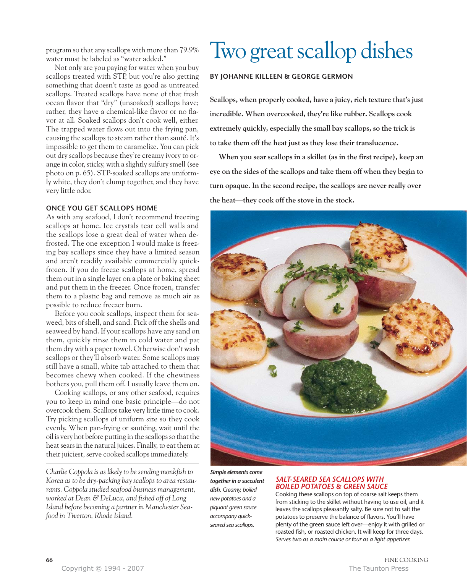program so that any scallops with more than 79.9% water must be labeled as "water added."

Not only are you paying for water when you buy scallops treated with STP, but you're also getting something that doesn't taste as good as untreated scallops. Treated scallops have none of that fresh ocean flavor that "dry" (unsoaked) scallops have; rather, they have a chemical-like flavor or no flavor at all. Soaked scallops don't cook well, either. The trapped water flows out into the frying pan, causing the scallops to steam rather than sauté. It's impossible to get them to caramelize. You can pick out dry scallops because they're creamy ivory to orange in color, sticky, with a slightly sulfury smell (see photo on p. 65). STP-soaked scallops are uniformly white, they don't clump together, and they have very little odor.

### **ONCE YOU GET SCALLOPS HOME**

As with any seafood, I don't recommend freezing scallops at home. Ice crystals tear cell walls and the scallops lose a great deal of water when defrosted. The one exception I would make is freezing bay scallops since they have a limited season and aren't readily available commercially quickfrozen. If you do freeze scallops at home, spread them out in a single layer on a plate or baking sheet and put them in the freezer. Once frozen, transfer them to a plastic bag and remove as much air as possible to reduce freezer burn.

Before you cook scallops, inspect them for seaweed, bits of shell, and sand. Pick off the shells and seaweed by hand. If your scallops have any sand on them, quickly rinse them in cold water and pat them dry with a paper towel. Otherwise don't wash scallops or they'll absorb water. Some scallops may still have a small, white tab attached to them that becomes chewy when cooked. If the chewiness bothers you, pull them off. I usually leave them on.

Cooking scallops, or any other seafood, requires you to keep in mind one basic principle—do not overcook them. Scallops take very little time to cook. Try picking scallops of uniform size so they cook evenly. When pan-frying or sautéing, wait until the oil is very hot before putting in the scallops so that the heat sears in the natural juices. Finally, to eat them at their juiciest, serve cooked scallops immediately.

*Charlie Coppola is as likely to be sending monkfish to Korea as to be dry-packing bay scallops to area restaurants. Coppola studied seafood business management, worked at Dean & DeLuca, and fished off of Long Island before becoming a partner in Manchester Seafood in Tiverton, Rhode Island.*

# Two great scallop dishes

# **BY JOHANNE KILLEEN & GEORGE GERMON**

**Scallops, when properly cooked, have a juicy, rich texture that's just incredible. When overcooked, they're like rubber. Scallops cook extremely quickly, especially the small bay scallops, so the trick is to take them off the heat just as they lose their translucence.** 

**When you sear scallops in a skillet (as in the first recipe), keep an eye on the sides of the scallops and take them off when they begin to turn opaque. In the second recipe, the scallops are never really over the heat—they cook off the stove in the stock.** 



*Simple elements come together in a succulent dish. Creamy, boiled new potatoes and a piquant green sauce accompany quickseared sea scallops.*

#### *SALT-SEARED SEA SCALLOPS WITH BOILED POTATOES & GREEN SAUCE*

Cooking these scallops on top of coarse salt keeps them from sticking to the skillet without having to use oil, and it leaves the scallops pleasantly salty. Be sure not to salt the potatoes to preserve the balance of flavors. You'll have plenty of the green sauce left over—enjoy it with grilled or roasted fish, or roasted chicken. It will keep for three days. *Serves two as a main course or four as a light appetizer.*